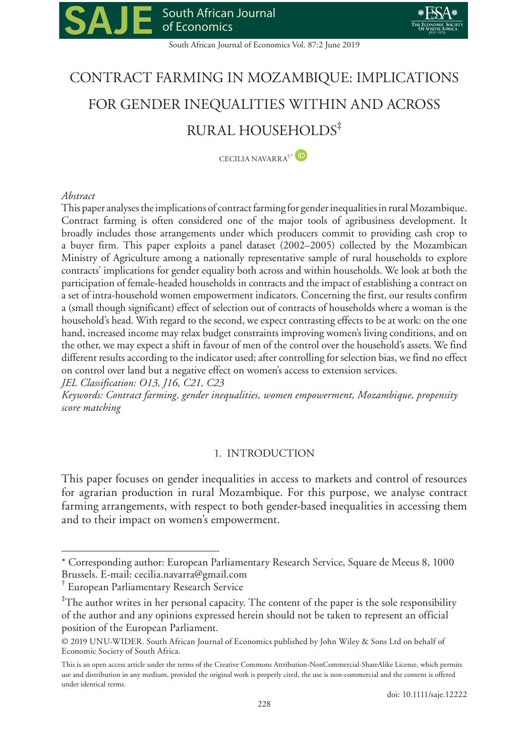South African Journal of Economics Vol. 87:2 June 2019

# CONTRACT FARMING IN MOZAMBIQUE: IMPLICATIONS FOR GENDER INEQUALITIES WITHIN AND ACROSS RURAL HOUSEHOLDS‡

CECILIA NAVARRA<sup>†</sup>\* <sup>(D)</sup>

## *Abstract*

This paper analyses the implications of contract farming for gender inequalities in rural Mozambique. Contract farming is often considered one of the major tools of agribusiness development. It broadly includes those arrangements under which producers commit to providing cash crop to a buyer firm. This paper exploits a panel dataset (2002–2005) collected by the Mozambican Ministry of Agriculture among a nationally representative sample of rural households to explore contracts' implications for gender equality both across and within households. We look at both the participation of female-headed households in contracts and the impact of establishing a contract on a set of intra-household women empowerment indicators. Concerning the first, our results confirm a (small though significant) effect of selection out of contracts of households where a woman is the household's head. With regard to the second, we expect contrasting effects to be at work: on the one hand, increased income may relax budget constraints improving women's living conditions, and on the other, we may expect a shift in favour of men of the control over the household's assets. We find different results according to the indicator used; after controlling for selection bias, we find no effect on control over land but a negative effect on women's access to extension services.

*JEL Classification: O13, J16, C21, C23*

*Keywords: Contract farming, gender inequalities, women empowerment, Mozambique, propensity score matching*

## 1. INTRODUCTION

This paper focuses on gender inequalities in access to markets and control of resources for agrarian production in rural Mozambique. For this purpose, we analyse contract farming arrangements, with respect to both gender-based inequalities in accessing them and to their impact on women's empowerment.

<sup>\*</sup> Corresponding author: European Parliamentary Research Service, Square de Meeus 8, 1000 Brussels. E-mail: [cecilia.navarra@gmail.com](mailto:cecilia.navarra@gmail.com) 

<sup>†</sup> European Parliamentary Research Service

<sup>‡</sup> The author writes in her personal capacity. The content of the paper is the sole responsibility of the author and any opinions expressed herein should not be taken to represent an official position of the European Parliament.

<sup>© 2019</sup> UNU-WIDER. South African Journal of Economics published by John Wiley & Sons Ltd on behalf of Economic Society of South Africa.

This is an open access article under the terms of the [Creative Commons Attribution-NonCommercial-ShareAlike](http://creativecommons.org/licenses/by-nc-sa/4.0/) License, which permits use and distribution in any medium, provided the original work is properly cited, the use is non-commercial and the content is offered under identical terms.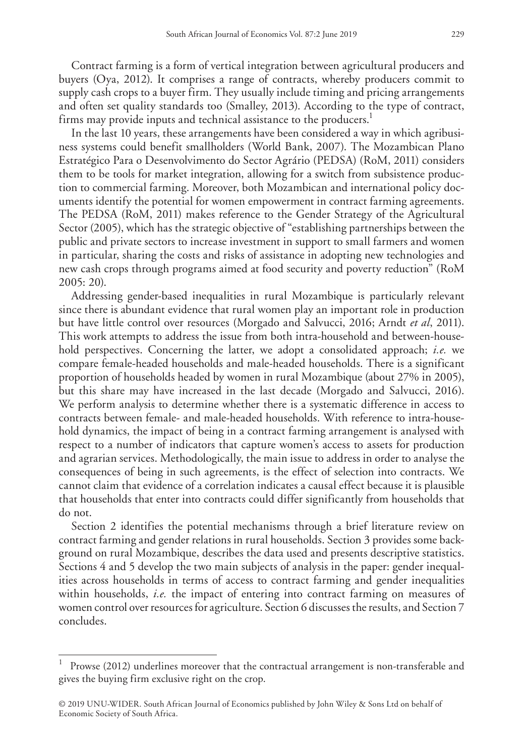Contract farming is a form of vertical integration between agricultural producers and buyers (Oya, 2012). It comprises a range of contracts, whereby producers commit to supply cash crops to a buyer firm. They usually include timing and pricing arrangements and often set quality standards too (Smalley, 2013). According to the type of contract, firms may provide inputs and technical assistance to the producers.<sup>1</sup>

In the last 10 years, these arrangements have been considered a way in which agribusiness systems could benefit smallholders (World Bank, 2007). The Mozambican Plano Estratégico Para o Desenvolvimento do Sector Agrário (PEDSA) (RoM, 2011) considers them to be tools for market integration, allowing for a switch from subsistence production to commercial farming. Moreover, both Mozambican and international policy documents identify the potential for women empowerment in contract farming agreements. The PEDSA (RoM, 2011) makes reference to the Gender Strategy of the Agricultural Sector (2005), which has the strategic objective of "establishing partnerships between the public and private sectors to increase investment in support to small farmers and women in particular, sharing the costs and risks of assistance in adopting new technologies and new cash crops through programs aimed at food security and poverty reduction" (RoM 2005: 20).

Addressing gender-based inequalities in rural Mozambique is particularly relevant since there is abundant evidence that rural women play an important role in production but have little control over resources (Morgado and Salvucci, 2016; Arndt *et al*, 2011). This work attempts to address the issue from both intra-household and between-household perspectives. Concerning the latter, we adopt a consolidated approach; *i.e.* we compare female-headed households and male-headed households. There is a significant proportion of households headed by women in rural Mozambique (about 27% in 2005), but this share may have increased in the last decade (Morgado and Salvucci, 2016). We perform analysis to determine whether there is a systematic difference in access to contracts between female- and male-headed households. With reference to intra-household dynamics, the impact of being in a contract farming arrangement is analysed with respect to a number of indicators that capture women's access to assets for production and agrarian services. Methodologically, the main issue to address in order to analyse the consequences of being in such agreements, is the effect of selection into contracts. We cannot claim that evidence of a correlation indicates a causal effect because it is plausible that households that enter into contracts could differ significantly from households that do not.

Section 2 identifies the potential mechanisms through a brief literature review on contract farming and gender relations in rural households. Section 3 provides some background on rural Mozambique, describes the data used and presents descriptive statistics. Sections 4 and 5 develop the two main subjects of analysis in the paper: gender inequalities across households in terms of access to contract farming and gender inequalities within households, *i.e.* the impact of entering into contract farming on measures of women control over resources for agriculture. Section 6 discusses the results, and Section 7 concludes.

Prowse (2012) underlines moreover that the contractual arrangement is non-transferable and gives the buying firm exclusive right on the crop.

<sup>© 2019</sup> UNU-WIDER. South African Journal of Economics published by John Wiley & Sons Ltd on behalf of Economic Society of South Africa.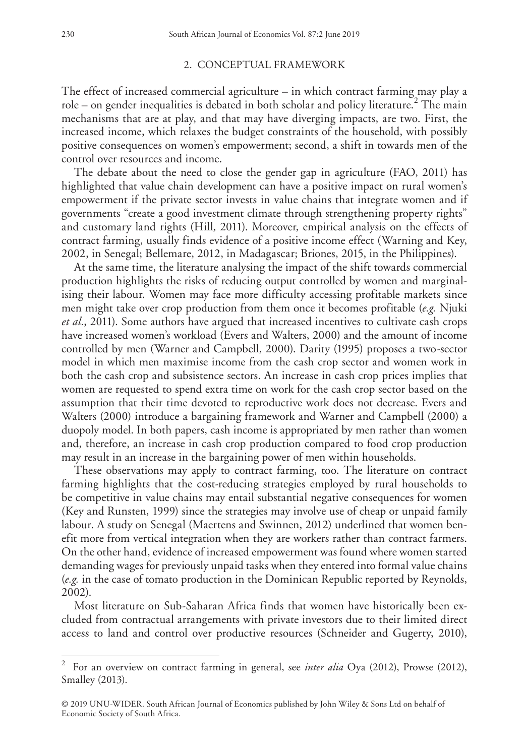#### 2. CONCEPTUAL FRAMEWORK

The effect of increased commercial agriculture – in which contract farming may play a role – on gender inequalities is debated in both scholar and policy literature.<sup>2</sup> The main mechanisms that are at play, and that may have diverging impacts, are two. First, the increased income, which relaxes the budget constraints of the household, with possibly positive consequences on women's empowerment; second, a shift in towards men of the control over resources and income.

The debate about the need to close the gender gap in agriculture (FAO, 2011) has highlighted that value chain development can have a positive impact on rural women's empowerment if the private sector invests in value chains that integrate women and if governments "create a good investment climate through strengthening property rights" and customary land rights (Hill, 2011). Moreover, empirical analysis on the effects of contract farming, usually finds evidence of a positive income effect (Warning and Key, 2002, in Senegal; Bellemare, 2012, in Madagascar; Briones, 2015, in the Philippines).

At the same time, the literature analysing the impact of the shift towards commercial production highlights the risks of reducing output controlled by women and marginalising their labour. Women may face more difficulty accessing profitable markets since men might take over crop production from them once it becomes profitable (*e.g.* Njuki *et al.*, 2011). Some authors have argued that increased incentives to cultivate cash crops have increased women's workload (Evers and Walters, 2000) and the amount of income controlled by men (Warner and Campbell, 2000). Darity (1995) proposes a two-sector model in which men maximise income from the cash crop sector and women work in both the cash crop and subsistence sectors. An increase in cash crop prices implies that women are requested to spend extra time on work for the cash crop sector based on the assumption that their time devoted to reproductive work does not decrease. Evers and Walters (2000) introduce a bargaining framework and Warner and Campbell (2000) a duopoly model. In both papers, cash income is appropriated by men rather than women and, therefore, an increase in cash crop production compared to food crop production may result in an increase in the bargaining power of men within households.

These observations may apply to contract farming, too. The literature on contract farming highlights that the cost-reducing strategies employed by rural households to be competitive in value chains may entail substantial negative consequences for women (Key and Runsten, 1999) since the strategies may involve use of cheap or unpaid family labour. A study on Senegal (Maertens and Swinnen, 2012) underlined that women benefit more from vertical integration when they are workers rather than contract farmers. On the other hand, evidence of increased empowerment was found where women started demanding wages for previously unpaid tasks when they entered into formal value chains (*e.g.* in the case of tomato production in the Dominican Republic reported by Reynolds, 2002).

Most literature on Sub-Saharan Africa finds that women have historically been excluded from contractual arrangements with private investors due to their limited direct access to land and control over productive resources (Schneider and Gugerty, 2010),

<sup>2</sup> For an overview on contract farming in general, see *inter alia* Oya (2012), Prowse (2012), Smalley (2013).

<sup>© 2019</sup> UNU-WIDER. South African Journal of Economics published by John Wiley & Sons Ltd on behalf of Economic Society of South Africa.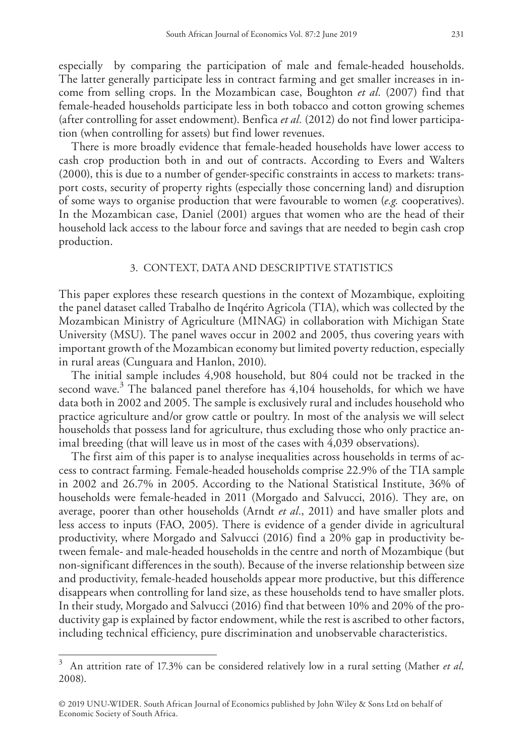especially by comparing the participation of male and female-headed households. The latter generally participate less in contract farming and get smaller increases in income from selling crops. In the Mozambican case, Boughton *et al.* (2007) find that female-headed households participate less in both tobacco and cotton growing schemes (after controlling for asset endowment). Benfica *et al.* (2012) do not find lower participation (when controlling for assets) but find lower revenues.

There is more broadly evidence that female-headed households have lower access to cash crop production both in and out of contracts. According to Evers and Walters (2000), this is due to a number of gender-specific constraints in access to markets: transport costs, security of property rights (especially those concerning land) and disruption of some ways to organise production that were favourable to women (*e.g.* cooperatives). In the Mozambican case, Daniel (2001) argues that women who are the head of their household lack access to the labour force and savings that are needed to begin cash crop production.

## 3. CONTEXT, DATA AND DESCRIPTIVE STATISTICS

This paper explores these research questions in the context of Mozambique, exploiting the panel dataset called Trabalho de Inqérito Agricola (TIA), which was collected by the Mozambican Ministry of Agriculture (MINAG) in collaboration with Michigan State University (MSU). The panel waves occur in 2002 and 2005, thus covering years with important growth of the Mozambican economy but limited poverty reduction, especially in rural areas (Cunguara and Hanlon, 2010).

The initial sample includes 4,908 household, but 804 could not be tracked in the second wave.<sup>3</sup> The balanced panel therefore has 4,104 households, for which we have data both in 2002 and 2005. The sample is exclusively rural and includes household who practice agriculture and/or grow cattle or poultry. In most of the analysis we will select households that possess land for agriculture, thus excluding those who only practice animal breeding (that will leave us in most of the cases with 4,039 observations).

The first aim of this paper is to analyse inequalities across households in terms of access to contract farming. Female-headed households comprise 22.9% of the TIA sample in 2002 and 26.7% in 2005. According to the National Statistical Institute, 36% of households were female-headed in 2011 (Morgado and Salvucci, 2016). They are, on average, poorer than other households (Arndt *et al.*, 2011) and have smaller plots and less access to inputs (FAO, 2005). There is evidence of a gender divide in agricultural productivity, where Morgado and Salvucci (2016) find a 20% gap in productivity between female- and male-headed households in the centre and north of Mozambique (but non-significant differences in the south). Because of the inverse relationship between size and productivity, female-headed households appear more productive, but this difference disappears when controlling for land size, as these households tend to have smaller plots. In their study, Morgado and Salvucci (2016) find that between 10% and 20% of the productivity gap is explained by factor endowment, while the rest is ascribed to other factors, including technical efficiency, pure discrimination and unobservable characteristics.

<sup>3</sup> An attrition rate of 17.3% can be considered relatively low in a rural setting (Mather *et al,*  2008).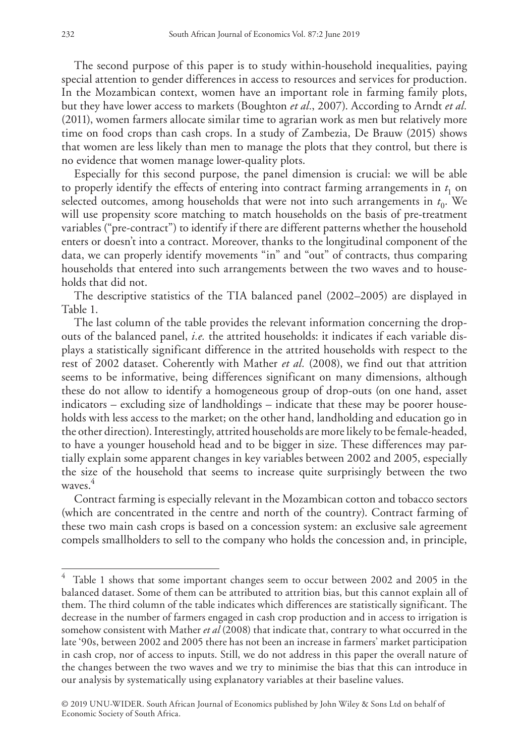The second purpose of this paper is to study within-household inequalities, paying special attention to gender differences in access to resources and services for production. In the Mozambican context, women have an important role in farming family plots, but they have lower access to markets (Boughton *et al.*, 2007). According to Arndt *et al.*  (2011), women farmers allocate similar time to agrarian work as men but relatively more time on food crops than cash crops. In a study of Zambezia, De Brauw (2015) shows that women are less likely than men to manage the plots that they control, but there is no evidence that women manage lower-quality plots.

Especially for this second purpose, the panel dimension is crucial: we will be able to properly identify the effects of entering into contract farming arrangements in  $t_1$  on selected outcomes, among households that were not into such arrangements in  $t<sub>0</sub>$ . We will use propensity score matching to match households on the basis of pre-treatment variables ("pre-contract") to identify if there are different patterns whether the household enters or doesn't into a contract. Moreover, thanks to the longitudinal component of the data, we can properly identify movements "in" and "out" of contracts, thus comparing households that entered into such arrangements between the two waves and to households that did not.

The descriptive statistics of the TIA balanced panel (2002–2005) are displayed in Table 1.

The last column of the table provides the relevant information concerning the dropouts of the balanced panel, *i.e.* the attrited households: it indicates if each variable displays a statistically significant difference in the attrited households with respect to the rest of 2002 dataset. Coherently with Mather *et al.* (2008), we find out that attrition seems to be informative, being differences significant on many dimensions, although these do not allow to identify a homogeneous group of drop-outs (on one hand, asset indicators – excluding size of landholdings – indicate that these may be poorer households with less access to the market; on the other hand, landholding and education go in the other direction). Interestingly, attrited households are more likely to be female-headed, to have a younger household head and to be bigger in size. These differences may partially explain some apparent changes in key variables between 2002 and 2005, especially the size of the household that seems to increase quite surprisingly between the two waves. 4

Contract farming is especially relevant in the Mozambican cotton and tobacco sectors (which are concentrated in the centre and north of the country). Contract farming of these two main cash crops is based on a concession system: an exclusive sale agreement compels smallholders to sell to the company who holds the concession and, in principle,

Table 1 shows that some important changes seem to occur between 2002 and 2005 in the balanced dataset. Some of them can be attributed to attrition bias, but this cannot explain all of them. The third column of the table indicates which differences are statistically significant. The decrease in the number of farmers engaged in cash crop production and in access to irrigation is somehow consistent with Mather *et al* (2008) that indicate that, contrary to what occurred in the late '90s, between 2002 and 2005 there has not been an increase in farmers' market participation in cash crop, nor of access to inputs. Still, we do not address in this paper the overall nature of the changes between the two waves and we try to minimise the bias that this can introduce in our analysis by systematically using explanatory variables at their baseline values.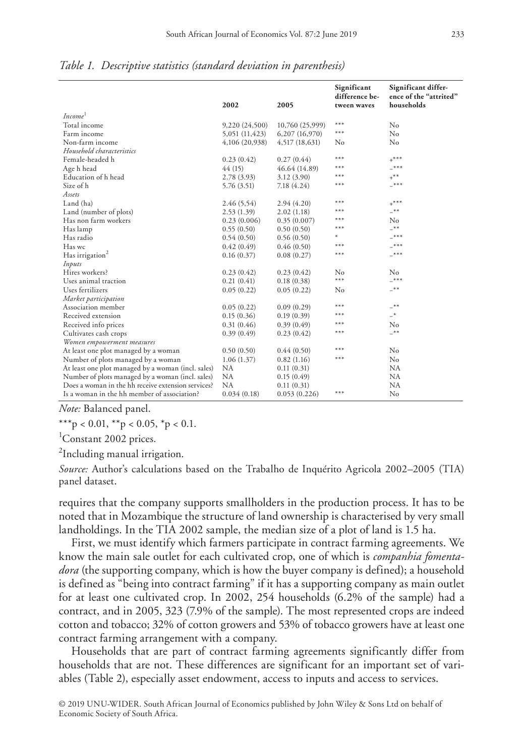|                                                    | 2002           | 2005            | Significant<br>difference be-<br>tween waves | Significant differ-<br>ence of the "attrited"<br>households |
|----------------------------------------------------|----------------|-----------------|----------------------------------------------|-------------------------------------------------------------|
| Income <sup>1</sup>                                |                |                 |                                              |                                                             |
| Total income                                       | 9,220 (24,500) | 10,760 (25,999) | ***                                          | No                                                          |
| Farm income                                        | 5,051 (11,423) | 6,207 (16,970)  | ***                                          | No                                                          |
| Non-farm income                                    | 4,106 (20,938) | 4,517 (18,631)  | No                                           | No                                                          |
| Household characteristics                          |                |                 |                                              |                                                             |
| Female-headed h                                    | 0.23(0.42)     | 0.27(0.44)      | ***                                          | $+***$                                                      |
| Age h head                                         | 44(15)         | 46.64 (14.89)   | ***                                          | ***                                                         |
| Education of h head                                | 2.78(3.93)     | 3.12 (3.90)     | ***                                          | $+$ **                                                      |
| Size of h                                          | 5.76 (3.51)    | 7.18 (4.24)     | $***$                                        | $***$                                                       |
| Assets                                             |                |                 |                                              |                                                             |
| Land (ha)                                          | 2.46(5,54)     | 2.94(4.20)      | ***                                          | $+***$                                                      |
| Land (number of plots)                             | 2.53(1.39)     | 2.02(1.18)      | ***                                          | $-***$                                                      |
| Has non farm workers                               | 0.23(0.006)    | 0.35(0.007)     | ***                                          | No                                                          |
| Has lamp                                           | 0.55(0.50)     | 0.50(0.50)      | ***                                          | $_{\pm *}$                                                  |
| Has radio                                          | 0.54(0.50)     | 0.56(0.50)      | ×                                            | ***                                                         |
| Has wc                                             | 0.42(0.49)     | 0.46(0.50)      | ***                                          | ***                                                         |
| Has irrigation <sup>2</sup>                        | 0.16(0.37)     | 0.08(0.27)      | ***                                          | $***$                                                       |
| Inputs                                             |                |                 |                                              |                                                             |
| Hires workers?                                     | 0.23(0.42)     | 0.23(0.42)      | $\rm No$                                     | No                                                          |
| Uses animal traction                               | 0.21(0.41)     | 0.18(0.38)      | ***                                          | $***$                                                       |
| Uses fertilizers                                   | 0.05(0.22)     | 0.05(0.22)      | No                                           | $_{**}$                                                     |
| Market participation                               |                |                 |                                              |                                                             |
| Association member                                 | 0.05(0.22)     | 0.09(0.29)      | ***                                          | $^{-**}$                                                    |
| Received extension                                 | 0.15(0.36)     | 0.19(0.39)      | ***                                          | $-*$                                                        |
| Received info prices                               | 0.31(0.46)     | 0.39(0.49)      | $***$                                        | No                                                          |
| Cultivates cash crops                              | 0.39(0.49)     | 0.23(0.42)      | ***                                          | $-***$                                                      |
| Women empowerment measures                         |                |                 |                                              |                                                             |
| At least one plot managed by a woman               | 0.50(0.50)     | 0.44(0.50)      | ***                                          | No                                                          |
| Number of plots managed by a woman                 | 1.06(1.37)     | 0.82(1.16)      | ***                                          | No                                                          |
| At least one plot managed by a woman (incl. sales) | <b>NA</b>      | 0.11(0.31)      |                                              | NA                                                          |
| Number of plots managed by a woman (incl. sales)   | NA             | 0.15(0.49)      |                                              | NA                                                          |
| Does a woman in the hh receive extension services? | <b>NA</b>      | 0.11(0.31)      |                                              | NA                                                          |
| Is a woman in the hh member of association?        | 0.034(0.18)    | 0.053(0.226)    | ***                                          | No                                                          |

*Table 1. Descriptive statistics (standard deviation in parenthesis)*

*Note:* Balanced panel.

\*\*\*p < 0.01,  $*$ <sup>\*</sup>p < 0.05,  $*$ p < 0.1.

<sup>1</sup>Constant 2002 prices.

<sup>2</sup>Including manual irrigation.

*Source:* Author's calculations based on the Trabalho de Inquérito Agricola 2002–2005 (TIA) panel dataset.

requires that the company supports smallholders in the production process. It has to be noted that in Mozambique the structure of land ownership is characterised by very small landholdings. In the TIA 2002 sample, the median size of a plot of land is 1.5 ha.

First, we must identify which farmers participate in contract farming agreements. We know the main sale outlet for each cultivated crop, one of which is *companhia fomentadora* (the supporting company, which is how the buyer company is defined); a household is defined as "being into contract farming" if it has a supporting company as main outlet for at least one cultivated crop. In 2002, 254 households (6.2% of the sample) had a contract, and in 2005, 323 (7.9% of the sample). The most represented crops are indeed cotton and tobacco; 32% of cotton growers and 53% of tobacco growers have at least one contract farming arrangement with a company.

Households that are part of contract farming agreements significantly differ from households that are not. These differences are significant for an important set of variables (Table 2), especially asset endowment, access to inputs and access to services.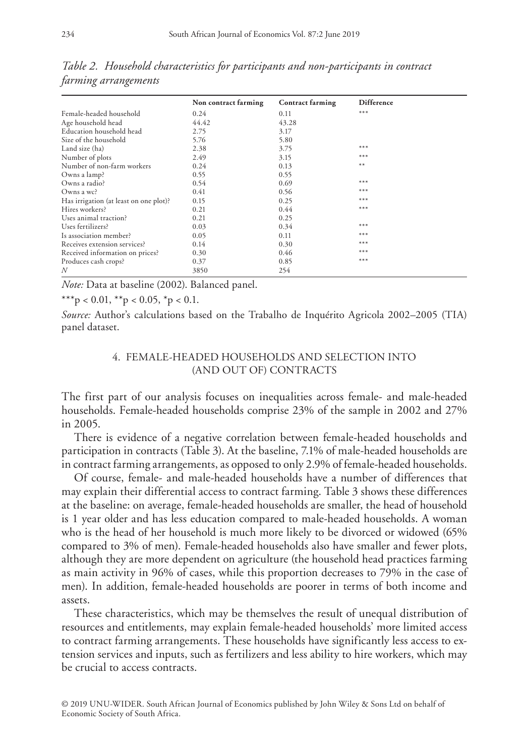|                                        | Non contract farming | <b>Contract farming</b> | Difference |  |
|----------------------------------------|----------------------|-------------------------|------------|--|
| Female-headed household                | 0.24                 | 0.11                    | $***$      |  |
| Age household head                     | 44.42                | 43.28                   |            |  |
| Education household head               | 2.75                 | 3.17                    |            |  |
| Size of the household                  | 5.76                 | 5.80                    |            |  |
| Land size (ha)                         | 2.38                 | 3.75                    | $***$      |  |
| Number of plots                        | 2.49                 | 3.15                    | $***$      |  |
| Number of non-farm workers             | 0.24                 | 0.13                    | $***$      |  |
| Owns a lamp?                           | 0.55                 | 0.55                    |            |  |
| Owns a radio?                          | 0.54                 | 0.69                    | $***$      |  |
| Owns a wc?                             | 0.41                 | 0.56                    | $***$      |  |
| Has irrigation (at least on one plot)? | 0.15                 | 0.25                    | $***$      |  |
| Hires workers?                         | 0.21                 | 0.44                    | $***$      |  |
| Uses animal traction?                  | 0.21                 | 0.25                    |            |  |
| Uses fertilizers?                      | 0.03                 | 0.34                    | $***$      |  |
| Is association member?                 | 0.05                 | 0.11                    | $***$      |  |
| Receives extension services?           | 0.14                 | 0.30                    | $***$      |  |
| Received information on prices?        | 0.30                 | 0.46                    | $***$      |  |
| Produces cash crops?                   | 0.37                 | 0.85                    | $***$      |  |
| N                                      | 3850                 | 254                     |            |  |

*Table 2. Household characteristics for participants and non-participants in contract farming arrangements*

*Note:* Data at baseline (2002). Balanced panel.

\*\*\*p < 0.01, \*\*p < 0.05, \*p < 0.1.

*Source:* Author's calculations based on the Trabalho de Inquérito Agricola 2002–2005 (TIA) panel dataset.

## 4. FEMALE-HEADED HOUSEHOLDS AND SELECTION INTO (AND OUT OF) CONTRACTS

The first part of our analysis focuses on inequalities across female- and male-headed households. Female-headed households comprise 23% of the sample in 2002 and 27% in 2005.

There is evidence of a negative correlation between female-headed households and participation in contracts (Table 3). At the baseline, 7.1% of male-headed households are in contract farming arrangements, as opposed to only 2.9% of female-headed households.

Of course, female- and male-headed households have a number of differences that may explain their differential access to contract farming. Table 3 shows these differences at the baseline: on average, female-headed households are smaller, the head of household is 1 year older and has less education compared to male-headed households. A woman who is the head of her household is much more likely to be divorced or widowed (65% compared to 3% of men). Female-headed households also have smaller and fewer plots, although they are more dependent on agriculture (the household head practices farming as main activity in 96% of cases, while this proportion decreases to 79% in the case of men). In addition, female-headed households are poorer in terms of both income and assets.

These characteristics, which may be themselves the result of unequal distribution of resources and entitlements, may explain female-headed households' more limited access to contract farming arrangements. These households have significantly less access to extension services and inputs, such as fertilizers and less ability to hire workers, which may be crucial to access contracts.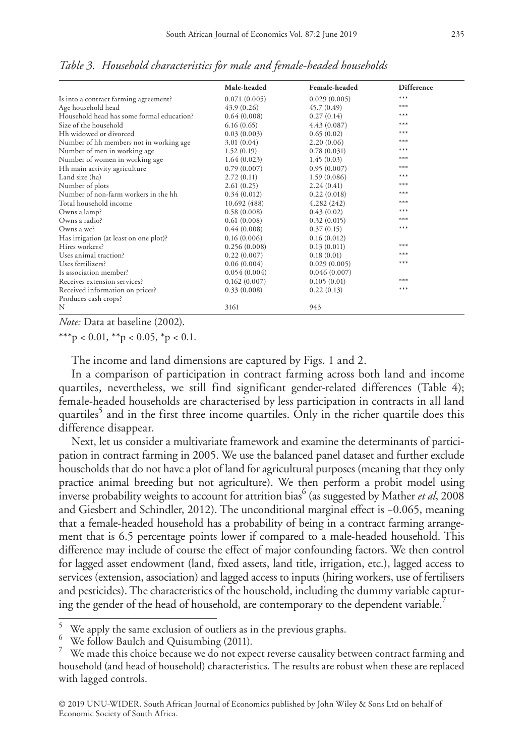|                                           | Male-headed  | Female-headed | <b>Difference</b> |
|-------------------------------------------|--------------|---------------|-------------------|
| Is into a contract farming agreement?     | 0.071(0.005) | 0.029(0.005)  | ***               |
| Age household head                        | 43.9(0.26)   | 45.7(0.49)    | ***               |
| Household head has some formal education? | 0.64(0.008)  | 0.27(0.14)    | ***               |
| Size of the household                     | 6.16(0.65)   | 4.43(0.087)   | $***$             |
| Hh widowed or divorced                    | 0.03(0.003)  | 0.65(0.02)    | $***$             |
| Number of hh members not in working age   | 3.01(0.04)   | 2.20(0.06)    | $***$             |
| Number of men in working age              | 1.52(0.19)   | 0.78(0.031)   | $***$             |
| Number of women in working age            | 1.64(0.023)  | 1.45(0.03)    | $***$             |
| Hh main activity agriculture              | 0.79(0.007)  | 0.95(0.007)   | ***               |
| Land size (ha)                            | 2.72(0.11)   | 1.59(0.086)   | ***               |
| Number of plots                           | 2.61(0.25)   | 2.24(0.41)    | $***$             |
| Number of non-farm workers in the hh      | 0.34(0.012)  | 0.22(0.018)   | $***$             |
| Total household income                    | 10,692 (488) | 4,282 (242)   | $***$             |
| Owns a lamp?                              | 0.58(0.008)  | 0.43(0.02)    | ***               |
| Owns a radio?                             | 0.61(0.008)  | 0.32(0.015)   | ***               |
| Owns a wc?                                | 0.44(0.008)  | 0.37(0.15)    | $***$             |
| Has irrigation (at least on one plot)?    | 0.16(0.006)  | 0.16(0.012)   |                   |
| Hires workers?                            | 0.256(0.008) | 0.13(0.011)   | ***               |
| Uses animal traction?                     | 0.22(0.007)  | 0.18(0.01)    | ***               |
| Uses fertilizers?                         | 0.06(0.004)  | 0.029(0.005)  | ***               |
| Is association member?                    | 0.054(0.004) | 0.046(0.007)  |                   |
| Receives extension services?              | 0.162(0.007) | 0.105(0.01)   | ***               |
| Received information on prices?           | 0.33(0.008)  | 0.22(0.13)    | ***               |
| Produces cash crops?                      |              |               |                   |
| N                                         | 3161         | 943           |                   |

*Table 3. Household characteristics for male and female-headed households*

*Note:* Data at baseline (2002).

\*\*\*p < 0.01, \*\*p < 0.05, \*p < 0.1.

The income and land dimensions are captured by Figs. 1 and 2.

In a comparison of participation in contract farming across both land and income quartiles, nevertheless, we still find significant gender-related differences (Table 4); female-headed households are characterised by less participation in contracts in all land quartiles<sup>5</sup> and in the first three income quartiles. Only in the richer quartile does this difference disappear.

Next, let us consider a multivariate framework and examine the determinants of participation in contract farming in 2005. We use the balanced panel dataset and further exclude households that do not have a plot of land for agricultural purposes (meaning that they only practice animal breeding but not agriculture). We then perform a probit model using inverse probability weights to account for attrition bias<sup>6</sup> (as suggested by Mather *et al*, 2008 and Giesbert and Schindler, 2012). The unconditional marginal effect is −0.065, meaning that a female-headed household has a probability of being in a contract farming arrangement that is 6.5 percentage points lower if compared to a male-headed household. This difference may include of course the effect of major confounding factors. We then control for lagged asset endowment (land, fixed assets, land title, irrigation, etc.), lagged access to services (extension, association) and lagged access to inputs (hiring workers, use of fertilisers and pesticides). The characteristics of the household, including the dummy variable capturing the gender of the head of household, are contemporary to the dependent variable.<sup>7</sup>

<sup>&</sup>lt;sup>5</sup> We apply the same exclusion of outliers as in the previous graphs.<br><sup>6</sup> We follow Baulch and Quisumbing (2011).<br><sup>7</sup> We made this choice because we do not expect reverse causality between contract farming and household (and head of household) characteristics. The results are robust when these are replaced with lagged controls.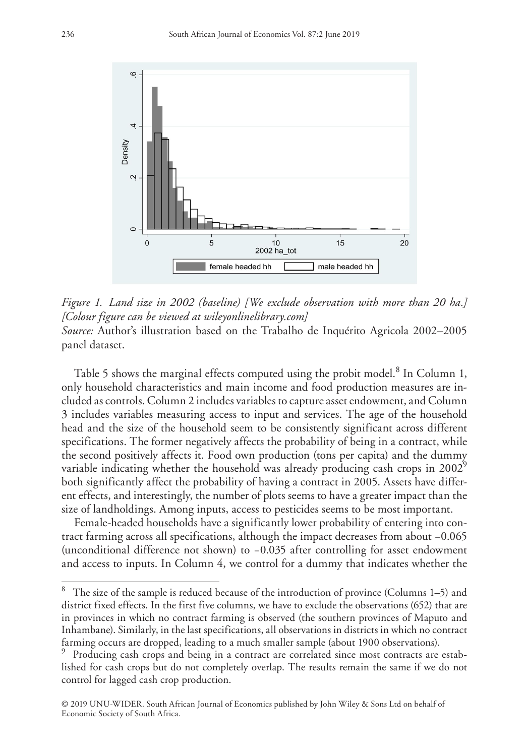

*Figure 1. Land size in 2002 (baseline) [We exclude observation with more than 20 ha.] [Colour figure can be viewed at [wileyonlinelibrary.com](www.wileyonlinelibrary.com)] Source:* Author's illustration based on the Trabalho de Inquérito Agricola 2002–2005 panel dataset.

Table 5 shows the marginal effects computed using the probit model.<sup>8</sup> In Column 1, only household characteristics and main income and food production measures are included as controls. Column 2 includes variables to capture asset endowment, and Column 3 includes variables measuring access to input and services. The age of the household head and the size of the household seem to be consistently significant across different specifications. The former negatively affects the probability of being in a contract, while the second positively affects it. Food own production (tons per capita) and the dummy variable indicating whether the household was already producing cash crops in  $2002^9$ both significantly affect the probability of having a contract in 2005. Assets have different effects, and interestingly, the number of plots seems to have a greater impact than the size of landholdings. Among inputs, access to pesticides seems to be most important.

Female-headed households have a significantly lower probability of entering into contract farming across all specifications, although the impact decreases from about −0.065 (unconditional difference not shown) to −0.035 after controlling for asset endowment and access to inputs. In Column 4, we control for a dummy that indicates whether the

<sup>8</sup> The size of the sample is reduced because of the introduction of province (Columns 1–5) and district fixed effects. In the first five columns, we have to exclude the observations (652) that are in provinces in which no contract farming is observed (the southern provinces of Maputo and Inhambane). Similarly, in the last specifications, all observations in districts in which no contract farming occurs are dropped, leading to a much smaller sample (about 1900 observations).

<sup>9</sup> Producing cash crops and being in a contract are correlated since most contracts are established for cash crops but do not completely overlap. The results remain the same if we do not control for lagged cash crop production.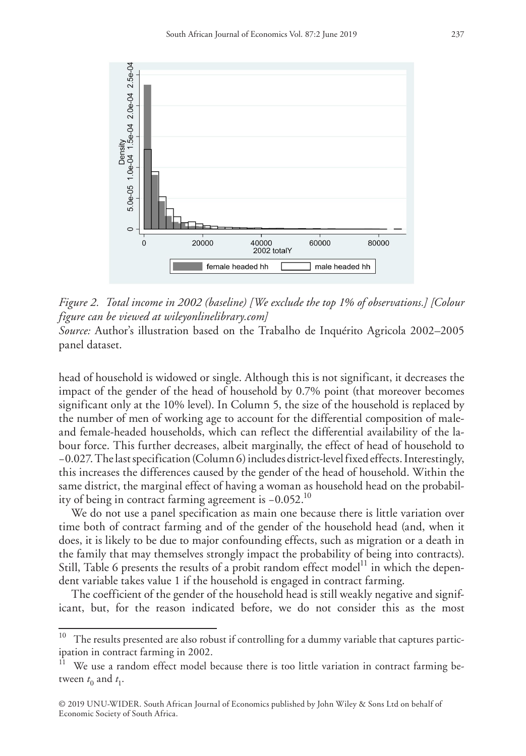

*Figure 2. Total income in 2002 (baseline) [We exclude the top 1% of observations.] [Colour figure can be viewed at [wileyonlinelibrary.com](www.wileyonlinelibrary.com)]*

*Source:* Author's illustration based on the Trabalho de Inquérito Agricola 2002–2005 panel dataset.

head of household is widowed or single. Although this is not significant, it decreases the impact of the gender of the head of household by 0.7% point (that moreover becomes significant only at the 10% level). In Column 5, the size of the household is replaced by the number of men of working age to account for the differential composition of maleand female-headed households, which can reflect the differential availability of the labour force. This further decreases, albeit marginally, the effect of head of household to −0.027. The last specification (Column 6) includes district-level fixed effects. Interestingly, this increases the differences caused by the gender of the head of household. Within the same district, the marginal effect of having a woman as household head on the probability of being in contract farming agreement is −0.052.10

We do not use a panel specification as main one because there is little variation over time both of contract farming and of the gender of the household head (and, when it does, it is likely to be due to major confounding effects, such as migration or a death in the family that may themselves strongly impact the probability of being into contracts). Still, Table 6 presents the results of a probit random effect model<sup>11</sup> in which the dependent variable takes value 1 if the household is engaged in contract farming.

The coefficient of the gender of the household head is still weakly negative and significant, but, for the reason indicated before, we do not consider this as the most

 $10$  The results presented are also robust if controlling for a dummy variable that captures participation in contract farming in 2002.

We use a random effect model because there is too little variation in contract farming between  $t_0$  and  $t_1$ .

<sup>© 2019</sup> UNU-WIDER. South African Journal of Economics published by John Wiley & Sons Ltd on behalf of Economic Society of South Africa.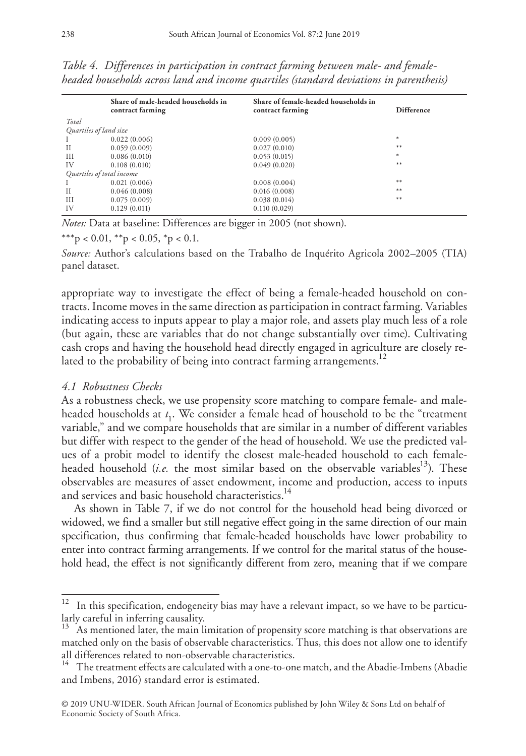|                           | Share of male-headed households in<br>contract farming | Share of female-headed households in<br>contract farming | <b>Difference</b> |
|---------------------------|--------------------------------------------------------|----------------------------------------------------------|-------------------|
| Total                     |                                                        |                                                          |                   |
| Quartiles of land size    |                                                        |                                                          |                   |
|                           | 0.022(0.006)                                           | 0.009(0.005)                                             | $\ast$            |
| $_{\rm II}$               | 0.059(0.009)                                           | 0.027(0.010)                                             | $**$              |
| Ш                         | 0.086(0.010)                                           | 0.053(0.015)                                             | $\ast$            |
| IV                        | 0.108(0.010)                                           | 0.049(0.020)                                             | $**$              |
| Quartiles of total income |                                                        |                                                          |                   |
|                           | 0.021(0.006)                                           | 0.008(0.004)                                             | $**$              |
| H                         | 0.046(0.008)                                           | 0.016(0.008)                                             | $***$             |
| Ш                         | 0.075(0.009)                                           | 0.038(0.014)                                             | $**$              |
| IV                        | 0.129(0.011)                                           | 0.110(0.029)                                             |                   |
|                           |                                                        |                                                          |                   |

*Table 4. Differences in participation in contract farming between male- and femaleheaded households across land and income quartiles (standard deviations in parenthesis)*

*Notes:* Data at baseline: Differences are bigger in 2005 (not shown).

\*\*\*p < 0.01, \*\*p < 0.05, \*p < 0.1.

*Source:* Author's calculations based on the Trabalho de Inquérito Agricola 2002–2005 (TIA) panel dataset.

appropriate way to investigate the effect of being a female-headed household on contracts. Income moves in the same direction as participation in contract farming. Variables indicating access to inputs appear to play a major role, and assets play much less of a role (but again, these are variables that do not change substantially over time). Cultivating cash crops and having the household head directly engaged in agriculture are closely related to the probability of being into contract farming arrangements.<sup>12</sup>

## *4.1 Robustness Checks*

As a robustness check, we use propensity score matching to compare female- and maleheaded households at *t* 1. We consider a female head of household to be the "treatment variable," and we compare households that are similar in a number of different variables but differ with respect to the gender of the head of household. We use the predicted values of a probit model to identify the closest male-headed household to each femaleheaded household (*i.e.* the most similar based on the observable variables<sup>13</sup>). These observables are measures of asset endowment, income and production, access to inputs and services and basic household characteristics.<sup>14</sup>

As shown in Table 7, if we do not control for the household head being divorced or widowed, we find a smaller but still negative effect going in the same direction of our main specification, thus confirming that female-headed households have lower probability to enter into contract farming arrangements. If we control for the marital status of the household head, the effect is not significantly different from zero, meaning that if we compare

In this specification, endogeneity bias may have a relevant impact, so we have to be particularly careful in inferring causality.

 $13$  As mentioned later, the main limitation of propensity score matching is that observations are matched only on the basis of observable characteristics. Thus, this does not allow one to identify all differences related to non-observable characteristics.

<sup>14</sup> The treatment effects are calculated with a one-to-one match, and the Abadie-Imbens (Abadie and Imbens, 2016) standard error is estimated.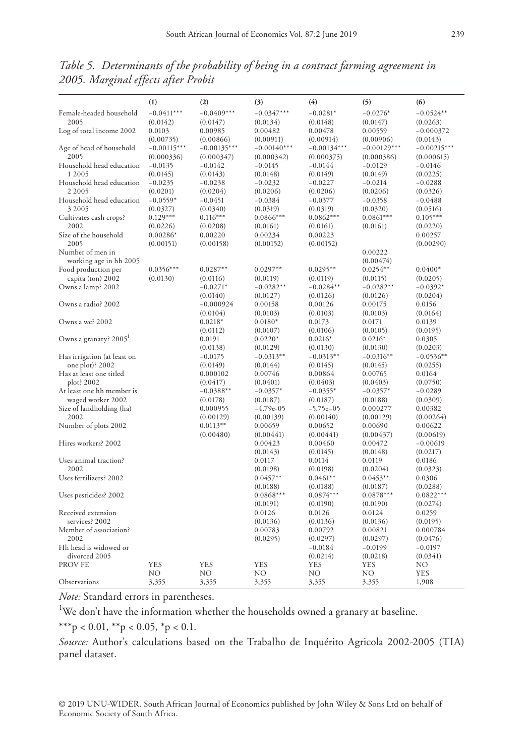|                                                | (1)           | (2)                  | (3)                     | (4)                     | (5)                  | (6)                 |
|------------------------------------------------|---------------|----------------------|-------------------------|-------------------------|----------------------|---------------------|
| Female-headed household                        | $-0.0411***$  | $-0.0409***$         | $-0.0347***$            | $-0.0281*$              | $-0.0276*$           | $-0.0524**$         |
| 2005                                           | (0.0142)      | (0.0147)             | (0.0134)                | (0.0148)                | (0.0147)             | (0.0263)            |
| Log of total income 2002                       | 0.0103        | 0.00985              | 0.00482                 | 0.00478                 | 0.00559              | $-0.000372$         |
|                                                | (0.00735)     | (0.00866)            | (0.00911)               | (0.00914)               | (0.00906)            | (0.0143)            |
| Age of head of household                       | $-0.00115***$ | $-0.00135***$        | $-0.00140***$           | $-0.00134***$           | $-0.00129***$        | $-0.00215***$       |
| 2005                                           | (0.000336)    | (0.000347)           | (0.000342)              | (0.000375)              | (0.000386)           | (0.000615)          |
| Household head education                       | $-0.0135$     | $-0.0142$            | $-0.0145$               | $-0.0144$               | $-0.0129$            | $-0.0146$           |
| 1 2005                                         | (0.0145)      | (0.0143)             | (0.0148)                | (0.0149)                | (0.0149)             | (0.0225)            |
| Household head education                       | $-0.0235$     | $-0.0238$            | $-0.0232$               | $-0.0227$               | $-0.0214$            | $-0.0288$           |
| 2 2 0 0 5                                      | (0.0201)      | (0.0204)             | (0.0206)                | (0.0206)                | (0.0206)             | (0.0326)            |
| Household head education                       | $-0.0559*$    | $-0.0451$            | $-0.0384$               | $-0.0377$               | $-0.0358$            | $-0.0488$           |
| 3 2005                                         | (0.0327)      | (0.0340)             | (0.0319)                | (0.0319)                | (0.0320)             | (0.0516)            |
| Cultivates cash crops?                         | $0.129***$    | $0.116***$           | $0.0866***$             | $0.0862***$             | $0.0861***$          | $0.105***$          |
| 2002                                           | (0.0226)      | (0.0208)             | (0.0161)                | (0.0161)                | (0.0161)             | (0.0220)            |
| Size of the household                          | $0.00286*$    | 0.00220              | 0.00234                 | 0.00223                 |                      | 0.00257             |
| 2005                                           | (0.00151)     | (0.00158)            | (0.00152)               | (0.00152)               |                      | (0.00290)           |
| Number of men in<br>working age in hh 2005     |               |                      |                         |                         | 0.00222<br>(0.00474) |                     |
| Food production per                            | $0.0356***$   | $0.0287**$           | $0.0297**$              | $0.0295**$              | $0.0254**$           | $0.0400*$           |
| capita (ton) 2002                              | (0.0130)      | (0.0116)             | (0.0119)                | (0.0119)                | (0.0115)             | (0.0205)            |
| Owns a lamp? 2002                              |               | $-0.0271*$           | $-0.0282**$             | $-0.0284**$             | $-0.0282**$          | $-0.0392*$          |
|                                                |               | (0.0140)             | (0.0127)                | (0.0126)                | (0.0126)             | (0.0204)            |
| Owns a radio? 2002                             |               | $-0.000924$          | 0.00158                 | 0.00126                 | 0.00175              | 0.0156              |
|                                                |               | (0.0104)             | (0.0103)                | (0.0103)                | (0.0103)             | (0.0164)            |
| Owns a wc? 2002                                |               | $0.0218*$            | $0.0180*$               | 0.0173                  | 0.0171               | 0.0139              |
|                                                |               | (0.0112)             | (0.0107)                | (0.0106)                | (0.0105)             | (0.0195)            |
| Owns a granary? 2005 <sup>1</sup>              |               | 0.0191               | $0.0220*$               | $0.0216*$               | $0.0216*$            | 0.0305              |
|                                                |               | (0.0138)             | (0.0129)                | (0.0130)                | (0.0130)             | (0.0203)            |
| Has irrigation (at least on                    |               | $-0.0175$            | $-0.0313**$             | $-0.0313**$             | $-0.0316**$          | $-0.0536**$         |
| one plot)? 2002                                |               | (0.0149)             | (0.0144)                | (0.0145)                | (0.0145)             | (0.0255)            |
| Has at least one titled<br>plot? 2002          |               | 0.000102             | 0.00746                 | 0.00864                 | 0.00765              | 0.0164              |
|                                                |               | (0.0417)             | (0.0401)                | (0.0403)                | (0.0403)             | (0.0750)            |
| At least one hh member is<br>waged worker 2002 |               | $-0.0388**$          | $-0.0357*$              | $-0.0355*$              | $-0.0357*$           | $-0.0289$           |
| Size of landholding (ha)                       |               | (0.0178)<br>0.000955 | (0.0187)<br>$-4.79e-05$ | (0.0187)<br>$-5.75e-05$ | (0.0188)<br>0.000277 | (0.0309)<br>0.00382 |
| 2002                                           |               | (0.00129)            | (0.00139)               | (0.00140)               | (0.00129)            | (0.00264)           |
| Number of plots 2002                           |               | $0.0113**$           | 0.00659                 | 0.00652                 | 0.00690              | 0.00622             |
|                                                |               | (0.00480)            | (0.00441)               | (0.00441)               | (0.00437)            | (0.00619)           |
| Hires workers? 2002                            |               |                      | 0.00423                 | 0.00460                 | 0.00472              | $-0.00619$          |
|                                                |               |                      | (0.0143)                | (0.0145)                | (0.0148)             | (0.0217)            |
| Uses animal traction?                          |               |                      | 0.0117                  | 0.0114                  | 0.0119               | 0.0186              |
| 2002                                           |               |                      | (0.0198)                | (0.0198)                | (0.0204)             | (0.0323)            |
| Uses fertilizers? 2002                         |               |                      | $0.0457**$              | $0.0461**$              | $0.0453**$           | 0.0306              |
|                                                |               |                      | (0.0188)                | (0.0188)                | (0.0187)             | (0.0288)            |
| Uses pesticides? 2002                          |               |                      | $0.0868***$             | $0.0874***$             | $0.0878***$          | $0.0822***$         |
|                                                |               |                      | (0.0191)                | (0.0190)                | (0.0190)             | (0.0274)            |
| Received extension                             |               |                      | 0.0126                  | 0.0126                  | 0.0124               | 0.0259              |
| services? 2002                                 |               |                      | (0.0136)                | (0.0136)                | (0.0136)             | (0.0195)            |
| Member of association?                         |               |                      | 0.00783                 | 0.00792                 | 0.00821              | 0.000784            |
| 2002                                           |               |                      | (0.0295)                | (0.0297)                | (0.0297)             | (0.0476)            |
| Hh head is widowed or                          |               |                      |                         | $-0.0184$               | $-0.0199$            | $-0.0197$           |
| divorced 2005                                  |               |                      |                         | (0.0214)                | (0.0218)             | (0.0341)            |
| PROV FE                                        | <b>YES</b>    | <b>YES</b>           | <b>YES</b>              | YES                     | YES                  | NO                  |
|                                                | NΟ            | NO                   | NO                      | NO                      | NΟ                   | <b>YES</b>          |
| Observations                                   | 3,355         | 3,355                | 3,355                   | 3,355                   | 3,355                | 1,908               |

*Table 5. Determinants of the probability of being in a contract farming agreement in 2005. Marginal effects after Probit*

<sup>1</sup>We don't have the information whether the households owned a granary at baseline.

\*\*\*p < 0.01, \*\*p < 0.05, \*p < 0.1.

*Source:* Author's calculations based on the Trabalho de Inquérito Agricola 2002-2005 (TIA) panel dataset.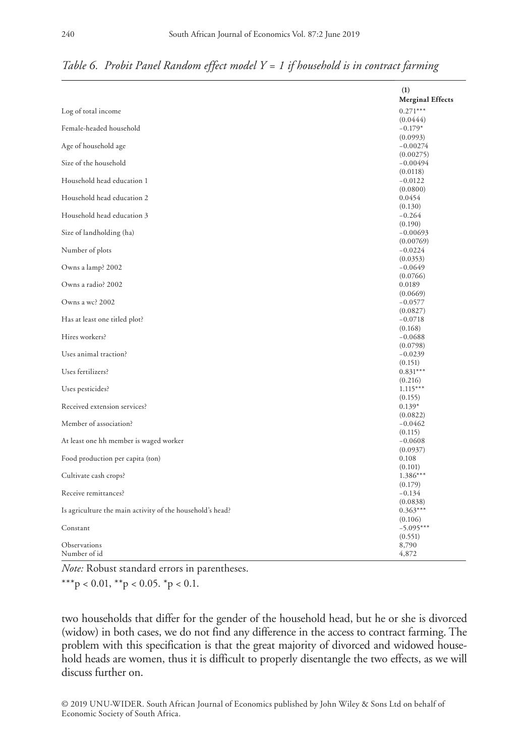|                                                           | (1)<br><b>Merginal Effects</b> |
|-----------------------------------------------------------|--------------------------------|
| Log of total income                                       | $0.271***$                     |
|                                                           | (0.0444)                       |
| Female-headed household                                   | $-0.179*$                      |
|                                                           | (0.0993)                       |
| Age of household age                                      | $-0.00274$                     |
| Size of the household                                     | (0.00275)                      |
|                                                           | $-0.00494$<br>(0.0118)         |
| Household head education 1                                | $-0.0122$                      |
|                                                           | (0.0800)                       |
| Household head education 2                                | 0.0454                         |
|                                                           | (0.130)                        |
| Household head education 3                                | $-0.264$                       |
|                                                           | (0.190)                        |
| Size of landholding (ha)                                  | $-0.00693$                     |
| Number of plots                                           | (0.00769)<br>$-0.0224$         |
|                                                           | (0.0353)                       |
| Owns a lamp? 2002                                         | $-0.0649$                      |
|                                                           | (0.0766)                       |
| Owns a radio? 2002                                        | 0.0189                         |
|                                                           | (0.0669)                       |
| Owns a wc? 2002                                           | $-0.0577$                      |
|                                                           | (0.0827)                       |
| Has at least one titled plot?                             | $-0.0718$<br>(0.168)           |
| Hires workers?                                            | $-0.0688$                      |
|                                                           | (0.0798)                       |
| Uses animal traction?                                     | $-0.0239$                      |
|                                                           | (0.151)                        |
| Uses fertilizers?                                         | $0.831***$                     |
|                                                           | (0.216)                        |
| Uses pesticides?                                          | $1.115***$                     |
| Received extension services?                              | (0.155)<br>$0.139*$            |
|                                                           | (0.0822)                       |
| Member of association?                                    | $-0.0462$                      |
|                                                           | (0.115)                        |
| At least one hh member is waged worker                    | $-0.0608$                      |
|                                                           | (0.0937)                       |
| Food production per capita (ton)                          | 0.108                          |
|                                                           | (0.101)                        |
| Cultivate cash crops?                                     | $1.386***$<br>(0.179)          |
| Receive remittances?                                      | $-0.134$                       |
|                                                           | (0.0838)                       |
| Is agriculture the main activity of the household's head? | $0.363***$                     |
|                                                           | (0.106)                        |
| Constant                                                  | $-5.095***$                    |
|                                                           | (0.551)                        |
| Observations                                              | 8,790                          |
| Number of id                                              | 4,872                          |

*Table 6. Probit Panel Random effect model Y = 1 if household is in contract farming*

*Note:* Robust standard errors in parentheses.

\*\*\*p < 0.01, \*\*p < 0.05. \*p < 0.1.

two households that differ for the gender of the household head, but he or she is divorced (widow) in both cases, we do not find any difference in the access to contract farming. The problem with this specification is that the great majority of divorced and widowed household heads are women, thus it is difficult to properly disentangle the two effects, as we will discuss further on.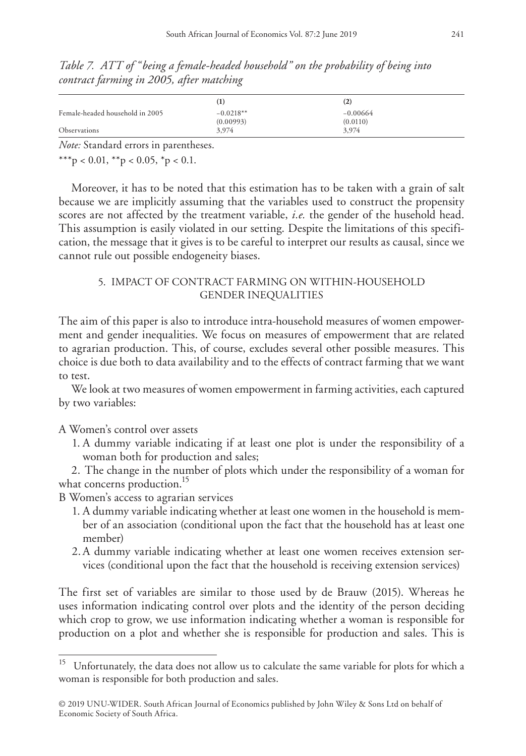*Table 7. ATT of "being a female-headed household" on the probability of being into contract farming in 2005, after matching*

|                                 | $\bf{(1)}$               | $\rm(2)$               |
|---------------------------------|--------------------------|------------------------|
| Female-headed household in 2005 | $-0.0218**$<br>(0.00993) | $-0.00664$<br>(0.0110) |
| <b>Observations</b>             | 3,974                    | 3,974                  |

\*\*\*p < 0.01, \*\*p < 0.05, \*p < 0.1.

Moreover, it has to be noted that this estimation has to be taken with a grain of salt because we are implicitly assuming that the variables used to construct the propensity scores are not affected by the treatment variable, *i.e.* the gender of the husehold head. This assumption is easily violated in our setting. Despite the limitations of this specification, the message that it gives is to be careful to interpret our results as causal, since we cannot rule out possible endogeneity biases.

## 5. IMPACT OF CONTRACT FARMING ON WITHIN-HOUSEHOLD GENDER INEQUALITIES

The aim of this paper is also to introduce intra-household measures of women empowerment and gender inequalities. We focus on measures of empowerment that are related to agrarian production. This, of course, excludes several other possible measures. This choice is due both to data availability and to the effects of contract farming that we want to test.

We look at two measures of women empowerment in farming activities, each captured by two variables:

## A Women's control over assets

1. A dummy variable indicating if at least one plot is under the responsibility of a woman both for production and sales;

2. The change in the number of plots which under the responsibility of a woman for what concerns production.<sup>15</sup>

B Women's access to agrarian services

- 1. A dummy variable indicating whether at least one women in the household is member of an association (conditional upon the fact that the household has at least one member)
- 2.A dummy variable indicating whether at least one women receives extension services (conditional upon the fact that the household is receiving extension services)

The first set of variables are similar to those used by de Brauw (2015). Whereas he uses information indicating control over plots and the identity of the person deciding which crop to grow, we use information indicating whether a woman is responsible for production on a plot and whether she is responsible for production and sales. This is

Unfortunately, the data does not allow us to calculate the same variable for plots for which a woman is responsible for both production and sales.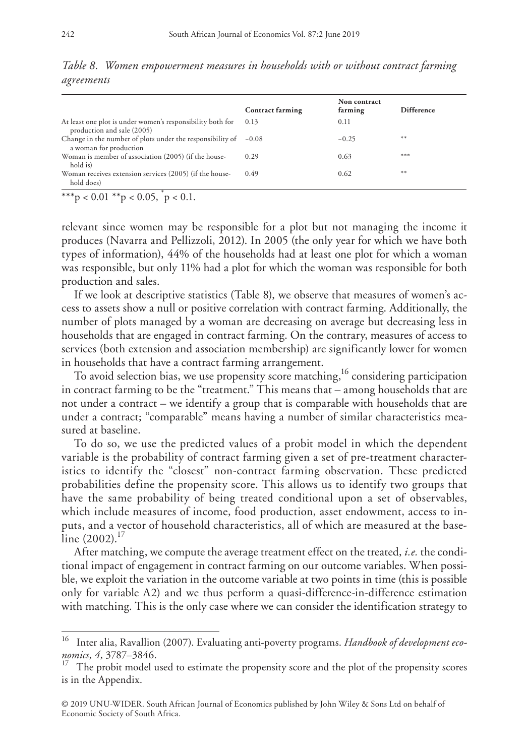|                                                                                             | <b>Contract farming</b> | Non contract<br>farming | <b>Difference</b> |
|---------------------------------------------------------------------------------------------|-------------------------|-------------------------|-------------------|
| At least one plot is under women's responsibility both for<br>production and sale (2005)    | 0.13                    | 0.11                    |                   |
| Change in the number of plots under the responsibility of $-0.08$<br>a woman for production |                         | $-0.25$                 | $***$             |
| Woman is member of association (2005) (if the house-<br>hold is)                            | 0.29                    | 0.63                    | $***$             |
| Woman receives extension services (2005) (if the house-<br>hold does)                       | 0.49                    | 0.62                    | $***$             |

*Table 8. Women empowerment measures in households with or without contract farming agreements*

\*\*\*p < 0.01 \*\*p < 0.05,  $p$  < 0.1.

relevant since women may be responsible for a plot but not managing the income it produces (Navarra and Pellizzoli, 2012). In 2005 (the only year for which we have both types of information), 44% of the households had at least one plot for which a woman was responsible, but only 11% had a plot for which the woman was responsible for both production and sales.

If we look at descriptive statistics (Table 8), we observe that measures of women's access to assets show a null or positive correlation with contract farming. Additionally, the number of plots managed by a woman are decreasing on average but decreasing less in households that are engaged in contract farming. On the contrary, measures of access to services (both extension and association membership) are significantly lower for women in households that have a contract farming arrangement.

To avoid selection bias, we use propensity score matching,<sup>16</sup> considering participation in contract farming to be the "treatment." This means that – among households that are not under a contract – we identify a group that is comparable with households that are under a contract; "comparable" means having a number of similar characteristics measured at baseline.

To do so, we use the predicted values of a probit model in which the dependent variable is the probability of contract farming given a set of pre-treatment characteristics to identify the "closest" non-contract farming observation. These predicted probabilities define the propensity score. This allows us to identify two groups that have the same probability of being treated conditional upon a set of observables, which include measures of income, food production, asset endowment, access to inputs, and a vector of household characteristics, all of which are measured at the baseline  $(2002).$ <sup>17</sup>

After matching, we compute the average treatment effect on the treated, *i.e.* the conditional impact of engagement in contract farming on our outcome variables. When possible, we exploit the variation in the outcome variable at two points in time (this is possible only for variable A2) and we thus perform a quasi-difference-in-difference estimation with matching. This is the only case where we can consider the identification strategy to

<sup>16</sup> Inter alia, Ravallion (2007). Evaluating anti-poverty programs. *Handbook of development economics*, *4*, 3787–3846.

 $17$  The probit model used to estimate the propensity score and the plot of the propensity scores is in the Appendix.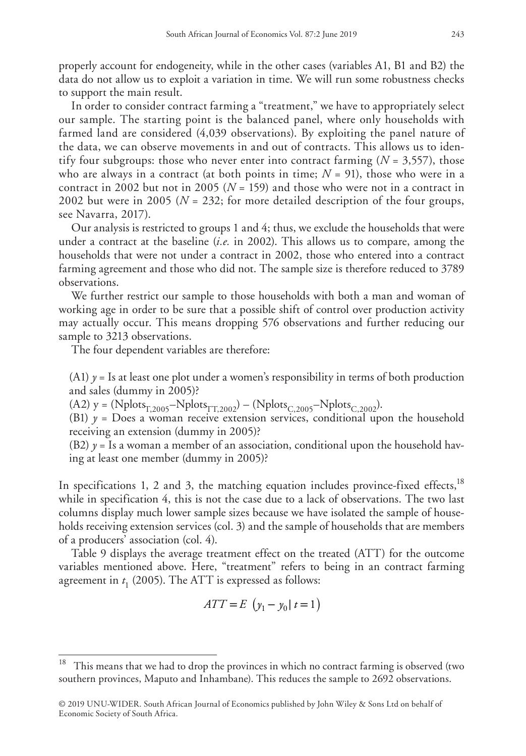properly account for endogeneity, while in the other cases (variables A1, B1 and B2) the data do not allow us to exploit a variation in time. We will run some robustness checks to support the main result.

In order to consider contract farming a "treatment," we have to appropriately select our sample. The starting point is the balanced panel, where only households with farmed land are considered (4,039 observations). By exploiting the panel nature of the data, we can observe movements in and out of contracts. This allows us to identify four subgroups: those who never enter into contract farming  $(N = 3,557)$ , those who are always in a contract (at both points in time;  $N = 91$ ), those who were in a contract in 2002 but not in 2005 (*N* = 159) and those who were not in a contract in 2002 but were in 2005 (*N* = 232; for more detailed description of the four groups, see Navarra, 2017).

Our analysis is restricted to groups 1 and 4; thus, we exclude the households that were under a contract at the baseline (*i.e.* in 2002). This allows us to compare, among the households that were not under a contract in 2002, those who entered into a contract farming agreement and those who did not. The sample size is therefore reduced to 3789 observations.

We further restrict our sample to those households with both a man and woman of working age in order to be sure that a possible shift of control over production activity may actually occur. This means dropping 576 observations and further reducing our sample to 3213 observations.

The four dependent variables are therefore:

(A1)  $y =$  Is at least one plot under a women's responsibility in terms of both production and sales (dummy in 2005)?

(A2)  $y = (Nplots_{T,2005} - Nplots_{T,T,2002}) - (Nplots_{C,2005} - Nplots_{C,2002}).$ 

(B1)  $y =$  Does a woman receive extension services, conditional upon the household receiving an extension (dummy in 2005)?

(B2)  $y = Is$  a woman a member of an association, conditional upon the household having at least one member (dummy in 2005)?

In specifications 1, 2 and 3, the matching equation includes province-fixed effects, $18$ while in specification 4, this is not the case due to a lack of observations. The two last columns display much lower sample sizes because we have isolated the sample of households receiving extension services (col. 3) and the sample of households that are members of a producers' association (col. 4).

Table 9 displays the average treatment effect on the treated (ATT) for the outcome variables mentioned above. Here, "treatment" refers to being in an contract farming agreement in *t* 1 (2005). The ATT is expressed as follows:

$$
ATT = E \left( y_1 - y_0 \mid t = 1 \right)
$$

<sup>18</sup> This means that we had to drop the provinces in which no contract farming is observed (two southern provinces, Maputo and Inhambane). This reduces the sample to 2692 observations.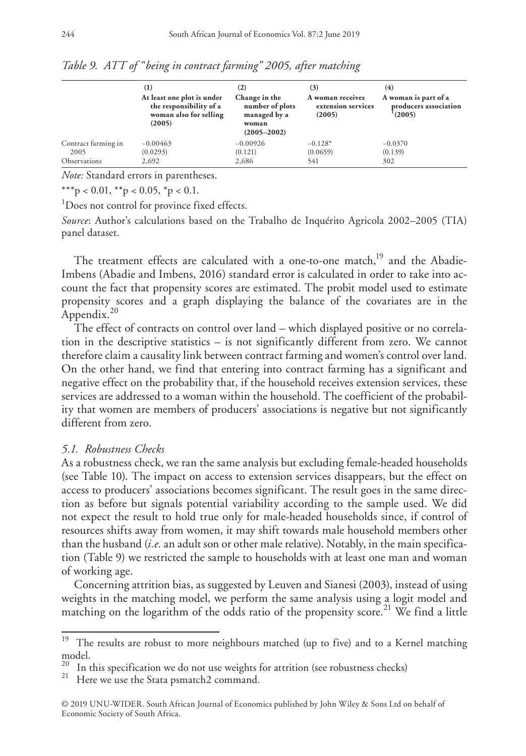|                     | $\left(1\right)$<br>At least one plot is under<br>the responsibility of a<br>woman also for selling<br>(2005) | $\left( 2\right)$<br>Change in the<br>number of plots<br>managed by a<br>woman<br>$(2005 - 2002)$ | (3)<br>A woman receives<br>extension services<br>(2005) | (4)<br>A woman is part of a<br>producers association<br>(2005) |
|---------------------|---------------------------------------------------------------------------------------------------------------|---------------------------------------------------------------------------------------------------|---------------------------------------------------------|----------------------------------------------------------------|
| Contract farming in | $-0.00463$                                                                                                    | $-0.00926$                                                                                        | $-0.128*$                                               | $-0.0370$                                                      |
| 2005                | (0.0293)                                                                                                      | (0.121)                                                                                           | (0.0659)                                                | (0.139)                                                        |
| Observations        | 2,692                                                                                                         | 2,686                                                                                             | 541                                                     | 302                                                            |

*Table 9. ATT of "being in contract farming" 2005, after matching*

\*\*\*p < 0.01, \*\*p < 0.05, \*p < 0.1.

<sup>1</sup>Does not control for province fixed effects.

*Source*: Author's calculations based on the Trabalho de Inquérito Agricola 2002–2005 (TIA) panel dataset.

The treatment effects are calculated with a one-to-one match,<sup>19</sup> and the Abadie-Imbens (Abadie and Imbens, 2016) standard error is calculated in order to take into account the fact that propensity scores are estimated. The probit model used to estimate propensity scores and a graph displaying the balance of the covariates are in the Appendix.<sup>20</sup>

The effect of contracts on control over land – which displayed positive or no correlation in the descriptive statistics – is not significantly different from zero. We cannot therefore claim a causality link between contract farming and women's control over land. On the other hand, we find that entering into contract farming has a significant and negative effect on the probability that, if the household receives extension services, these services are addressed to a woman within the household. The coefficient of the probability that women are members of producers' associations is negative but not significantly different from zero.

## *5.1. Robustness Checks*

As a robustness check, we ran the same analysis but excluding female-headed households (see Table 10). The impact on access to extension services disappears, but the effect on access to producers' associations becomes significant. The result goes in the same direction as before but signals potential variability according to the sample used. We did not expect the result to hold true only for male-headed households since, if control of resources shifts away from women, it may shift towards male household members other than the husband (*i.e.* an adult son or other male relative). Notably, in the main specification (Table 9) we restricted the sample to households with at least one man and woman of working age.

Concerning attrition bias, as suggested by Leuven and Sianesi (2003), instead of using weights in the matching model, we perform the same analysis using a logit model and matching on the logarithm of the odds ratio of the propensity score.<sup>21</sup> We find a little

<sup>&</sup>lt;sup>19</sup> The results are robust to more neighbours matched (up to five) and to a Kernel matching model.

<sup>&</sup>lt;sup>20</sup> In this specification we do not use weights for attrition (see robustness checks)<sup>21</sup> Here we use the Stata psmatch2 command.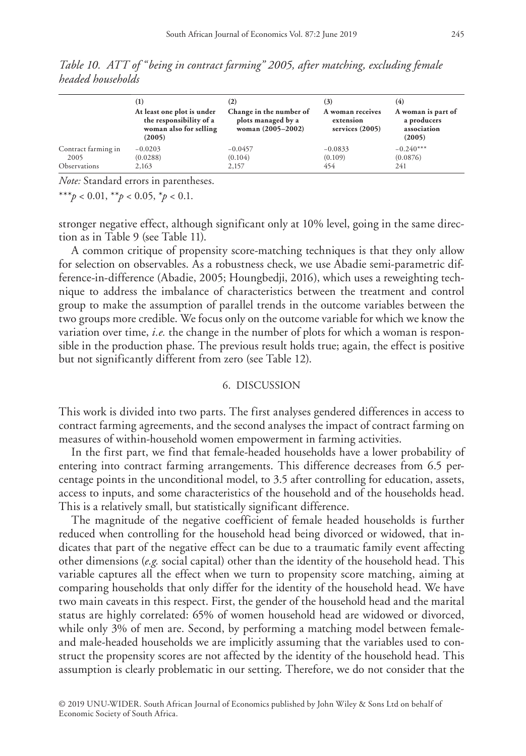|                     | (1)<br>At least one plot is under<br>the responsibility of a<br>woman also for selling<br>(2005) | (2)<br>Change in the number of<br>plots managed by a<br>woman (2005-2002) | (3)<br>A woman receives<br>extension<br>services (2005) | (4)<br>A woman is part of<br>a producers<br>association<br>(2005) |
|---------------------|--------------------------------------------------------------------------------------------------|---------------------------------------------------------------------------|---------------------------------------------------------|-------------------------------------------------------------------|
| Contract farming in | $-0.0203$                                                                                        | $-0.0457$                                                                 | $-0.0833$                                               | $-0.240***$                                                       |
| 2005                | (0.0288)                                                                                         | (0.104)                                                                   | (0.109)                                                 | (0.0876)                                                          |
| Observations        | 2.163                                                                                            | 2,157                                                                     | 454                                                     | 241                                                               |

*Table 10. ATT of "being in contract farming" 2005, after matching, excluding female headed households*

\*\*\**p* < 0.01, \*\**p* < 0.05, \**p* < 0.1.

stronger negative effect, although significant only at 10% level, going in the same direction as in Table 9 (see Table 11).

A common critique of propensity score-matching techniques is that they only allow for selection on observables. As a robustness check, we use Abadie semi-parametric difference-in-difference (Abadie, 2005; Houngbedji, 2016), which uses a reweighting technique to address the imbalance of characteristics between the treatment and control group to make the assumption of parallel trends in the outcome variables between the two groups more credible. We focus only on the outcome variable for which we know the variation over time, *i.e.* the change in the number of plots for which a woman is responsible in the production phase. The previous result holds true; again, the effect is positive but not significantly different from zero (see Table 12).

### 6. DISCUSSION

This work is divided into two parts. The first analyses gendered differences in access to contract farming agreements, and the second analyses the impact of contract farming on measures of within-household women empowerment in farming activities.

In the first part, we find that female-headed households have a lower probability of entering into contract farming arrangements. This difference decreases from 6.5 percentage points in the unconditional model, to 3.5 after controlling for education, assets, access to inputs, and some characteristics of the household and of the households head. This is a relatively small, but statistically significant difference.

The magnitude of the negative coefficient of female headed households is further reduced when controlling for the household head being divorced or widowed, that indicates that part of the negative effect can be due to a traumatic family event affecting other dimensions (*e.g.* social capital) other than the identity of the household head. This variable captures all the effect when we turn to propensity score matching, aiming at comparing households that only differ for the identity of the household head. We have two main caveats in this respect. First, the gender of the household head and the marital status are highly correlated: 65% of women household head are widowed or divorced, while only 3% of men are. Second, by performing a matching model between femaleand male-headed households we are implicitly assuming that the variables used to construct the propensity scores are not affected by the identity of the household head. This assumption is clearly problematic in our setting. Therefore, we do not consider that the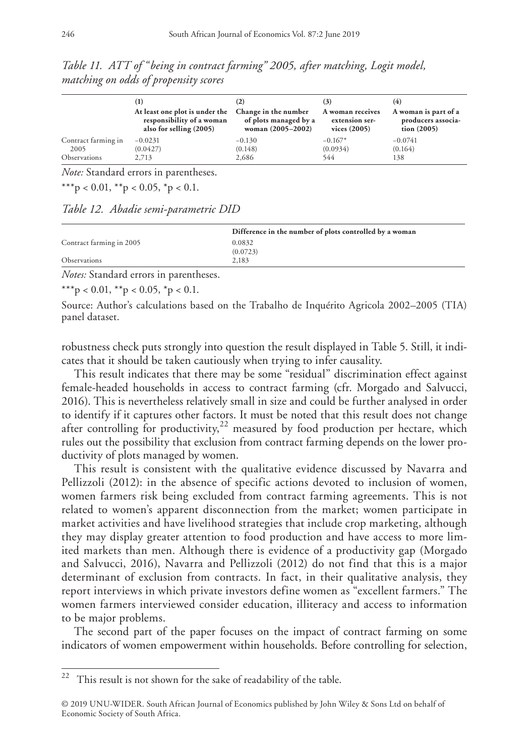|                     | $\rm _{(1)}$                   | (2)                   | [3]              | (4)                  |
|---------------------|--------------------------------|-----------------------|------------------|----------------------|
|                     | At least one plot is under the | Change in the number  | A woman receives | A woman is part of a |
|                     | responsibility of a woman      | of plots managed by a | extension ser-   | producers associa-   |
|                     | also for selling (2005)        | woman (2005-2002)     | vices $(2005)$   | tion (2005)          |
| Contract farming in | $-0.0231$                      | $-0.130$              | $-0.167*$        | $-0.0741$            |
| 2005                | (0.0427)                       | (0.148)               | (0.0934)         | (0.164)              |
| Observations        | 2.713                          | 2,686                 | 544              | 138                  |

*Table 11. ATT of "being in contract farming" 2005, after matching, Logit model, matching on odds of propensity scores*

\*\*\*p < 0.01, \*\*p < 0.05, \*p < 0.1.

*Table 12. Abadie semi-parametric DID*

|                          | Difference in the number of plots controlled by a woman |
|--------------------------|---------------------------------------------------------|
| Contract farming in 2005 | 0.0832                                                  |
|                          | (0.0723)                                                |
| <b>Observations</b>      | 2.183                                                   |
| $\mathbf{r}$ $\alpha$    |                                                         |

*Notes:* Standard errors in parentheses.

\*\*\*p < 0.01, \*\*p < 0.05, \*p < 0.1.

Source: Author's calculations based on the Trabalho de Inquérito Agricola 2002–2005 (TIA) panel dataset.

robustness check puts strongly into question the result displayed in Table 5. Still, it indicates that it should be taken cautiously when trying to infer causality.

This result indicates that there may be some "residual" discrimination effect against female-headed households in access to contract farming (cfr. Morgado and Salvucci, 2016). This is nevertheless relatively small in size and could be further analysed in order to identify if it captures other factors. It must be noted that this result does not change after controlling for productivity, $22$  measured by food production per hectare, which rules out the possibility that exclusion from contract farming depends on the lower productivity of plots managed by women.

This result is consistent with the qualitative evidence discussed by Navarra and Pellizzoli (2012): in the absence of specific actions devoted to inclusion of women, women farmers risk being excluded from contract farming agreements. This is not related to women's apparent disconnection from the market; women participate in market activities and have livelihood strategies that include crop marketing, although they may display greater attention to food production and have access to more limited markets than men. Although there is evidence of a productivity gap (Morgado and Salvucci, 2016), Navarra and Pellizzoli (2012) do not find that this is a major determinant of exclusion from contracts. In fact, in their qualitative analysis, they report interviews in which private investors define women as "excellent farmers." The women farmers interviewed consider education, illiteracy and access to information to be major problems.

The second part of the paper focuses on the impact of contract farming on some indicators of women empowerment within households. Before controlling for selection,

 $22$  This result is not shown for the sake of readability of the table.

<sup>© 2019</sup> UNU-WIDER. South African Journal of Economics published by John Wiley & Sons Ltd on behalf of Economic Society of South Africa.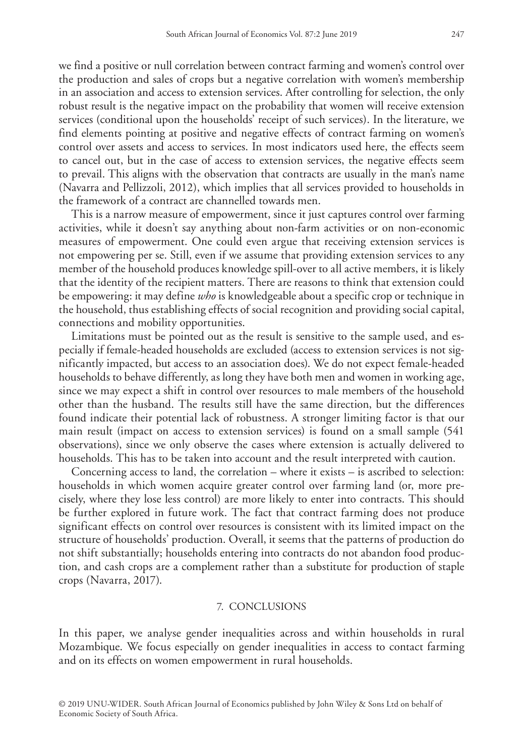we find a positive or null correlation between contract farming and women's control over the production and sales of crops but a negative correlation with women's membership in an association and access to extension services. After controlling for selection, the only robust result is the negative impact on the probability that women will receive extension services (conditional upon the households' receipt of such services). In the literature, we find elements pointing at positive and negative effects of contract farming on women's control over assets and access to services. In most indicators used here, the effects seem to cancel out, but in the case of access to extension services, the negative effects seem to prevail. This aligns with the observation that contracts are usually in the man's name (Navarra and Pellizzoli, 2012), which implies that all services provided to households in the framework of a contract are channelled towards men.

This is a narrow measure of empowerment, since it just captures control over farming activities, while it doesn't say anything about non-farm activities or on non-economic measures of empowerment. One could even argue that receiving extension services is not empowering per se. Still, even if we assume that providing extension services to any member of the household produces knowledge spill-over to all active members, it is likely that the identity of the recipient matters. There are reasons to think that extension could be empowering: it may define *who* is knowledgeable about a specific crop or technique in the household, thus establishing effects of social recognition and providing social capital, connections and mobility opportunities.

Limitations must be pointed out as the result is sensitive to the sample used, and especially if female-headed households are excluded (access to extension services is not significantly impacted, but access to an association does). We do not expect female-headed households to behave differently, as long they have both men and women in working age, since we may expect a shift in control over resources to male members of the household other than the husband. The results still have the same direction, but the differences found indicate their potential lack of robustness. A stronger limiting factor is that our main result (impact on access to extension services) is found on a small sample (541 observations), since we only observe the cases where extension is actually delivered to households. This has to be taken into account and the result interpreted with caution.

Concerning access to land, the correlation – where it exists – is ascribed to selection: households in which women acquire greater control over farming land (or, more precisely, where they lose less control) are more likely to enter into contracts. This should be further explored in future work. The fact that contract farming does not produce significant effects on control over resources is consistent with its limited impact on the structure of households' production. Overall, it seems that the patterns of production do not shift substantially; households entering into contracts do not abandon food production, and cash crops are a complement rather than a substitute for production of staple crops (Navarra, 2017).

### 7. CONCLUSIONS

In this paper, we analyse gender inequalities across and within households in rural Mozambique. We focus especially on gender inequalities in access to contact farming and on its effects on women empowerment in rural households.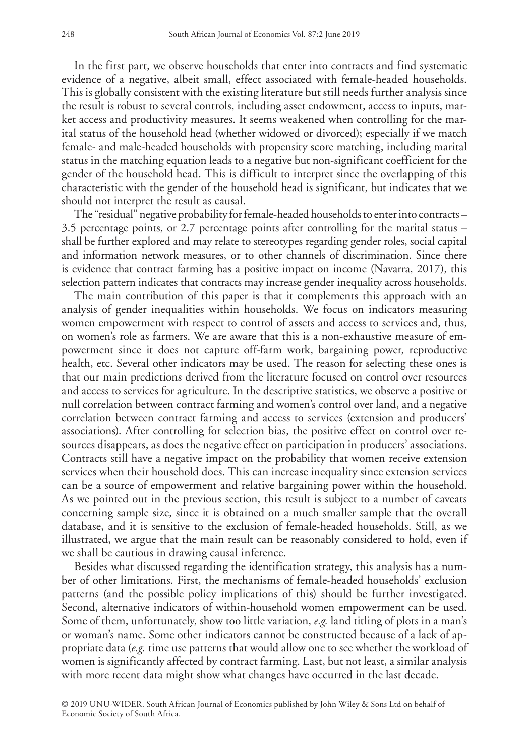In the first part, we observe households that enter into contracts and find systematic evidence of a negative, albeit small, effect associated with female-headed households. This is globally consistent with the existing literature but still needs further analysis since the result is robust to several controls, including asset endowment, access to inputs, market access and productivity measures. It seems weakened when controlling for the marital status of the household head (whether widowed or divorced); especially if we match female- and male-headed households with propensity score matching, including marital status in the matching equation leads to a negative but non-significant coefficient for the gender of the household head. This is difficult to interpret since the overlapping of this characteristic with the gender of the household head is significant, but indicates that we should not interpret the result as causal.

The "residual" negative probability for female-headed households to enter into contracts – 3.5 percentage points, or 2.7 percentage points after controlling for the marital status – shall be further explored and may relate to stereotypes regarding gender roles, social capital and information network measures, or to other channels of discrimination. Since there is evidence that contract farming has a positive impact on income (Navarra, 2017), this selection pattern indicates that contracts may increase gender inequality across households.

The main contribution of this paper is that it complements this approach with an analysis of gender inequalities within households. We focus on indicators measuring women empowerment with respect to control of assets and access to services and, thus, on women's role as farmers. We are aware that this is a non-exhaustive measure of empowerment since it does not capture off-farm work, bargaining power, reproductive health, etc. Several other indicators may be used. The reason for selecting these ones is that our main predictions derived from the literature focused on control over resources and access to services for agriculture. In the descriptive statistics, we observe a positive or null correlation between contract farming and women's control over land, and a negative correlation between contract farming and access to services (extension and producers' associations). After controlling for selection bias, the positive effect on control over resources disappears, as does the negative effect on participation in producers' associations. Contracts still have a negative impact on the probability that women receive extension services when their household does. This can increase inequality since extension services can be a source of empowerment and relative bargaining power within the household. As we pointed out in the previous section, this result is subject to a number of caveats concerning sample size, since it is obtained on a much smaller sample that the overall database, and it is sensitive to the exclusion of female-headed households. Still, as we illustrated, we argue that the main result can be reasonably considered to hold, even if we shall be cautious in drawing causal inference.

Besides what discussed regarding the identification strategy, this analysis has a number of other limitations. First, the mechanisms of female-headed households' exclusion patterns (and the possible policy implications of this) should be further investigated. Second, alternative indicators of within-household women empowerment can be used. Some of them, unfortunately, show too little variation, *e.g.* land titling of plots in a man's or woman's name. Some other indicators cannot be constructed because of a lack of appropriate data (*e.g.* time use patterns that would allow one to see whether the workload of women is significantly affected by contract farming. Last, but not least, a similar analysis with more recent data might show what changes have occurred in the last decade.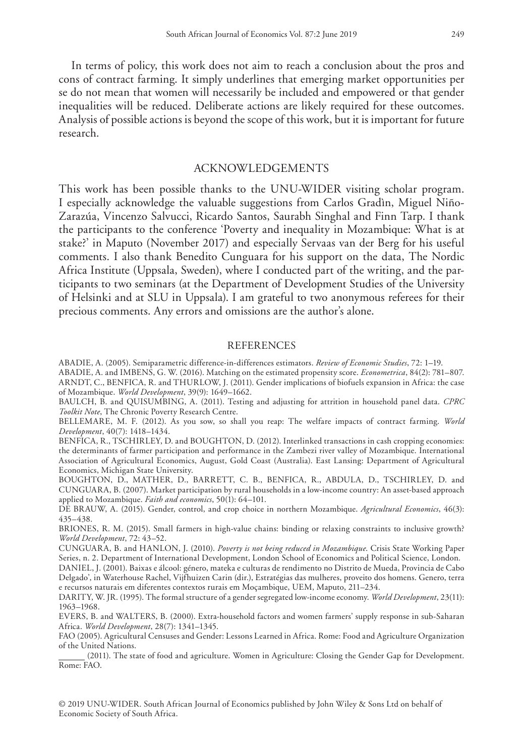In terms of policy, this work does not aim to reach a conclusion about the pros and cons of contract farming. It simply underlines that emerging market opportunities per se do not mean that women will necessarily be included and empowered or that gender inequalities will be reduced. Deliberate actions are likely required for these outcomes. Analysis of possible actions is beyond the scope of this work, but it is important for future research.

## ACKNOWLEDGEMENTS

This work has been possible thanks to the UNU-WIDER visiting scholar program. I especially acknowledge the valuable suggestions from Carlos Gradìn, Miguel Niño-Zarazúa, Vincenzo Salvucci, Ricardo Santos, Saurabh Singhal and Finn Tarp. I thank the participants to the conference 'Poverty and inequality in Mozambique: What is at stake?' in Maputo (November 2017) and especially Servaas van der Berg for his useful comments. I also thank Benedito Cunguara for his support on the data, The Nordic Africa Institute (Uppsala, Sweden), where I conducted part of the writing, and the participants to two seminars (at the Department of Development Studies of the University of Helsinki and at SLU in Uppsala). I am grateful to two anonymous referees for their precious comments. Any errors and omissions are the author's alone.

#### **REFERENCES**

ABADIE, A. (2005). Semiparametric difference-in-differences estimators. *Review of Economic Studies*, 72: 1–19.

ABADIE, A. and IMBENS, G. W. (2016). Matching on the estimated propensity score. *Econometrica*, 84(2): 781–807. ARNDT, C., BENFICA, R. and THURLOW, J. (2011). Gender implications of biofuels expansion in Africa: the case of Mozambique. *World Development*, 39(9): 1649–1662.

BAULCH, B. and QUISUMBING, A. (2011). Testing and adjusting for attrition in household panel data. *CPRC Toolkit Note*, The Chronic Poverty Research Centre.

BELLEMARE, M. F. (2012). As you sow, so shall you reap: The welfare impacts of contract farming. *World Development*, 40(7): 1418–1434.

BENFICA, R., TSCHIRLEY, D. and BOUGHTON, D. (2012). Interlinked transactions in cash cropping economies: the determinants of farmer participation and performance in the Zambezi river valley of Mozambique. International Association of Agricultural Economics, August, Gold Coast (Australia). East Lansing: Department of Agricultural Economics, Michigan State University.

BOUGHTON, D., MATHER, D., BARRETT, C. B., BENFICA, R., ABDULA, D., TSCHIRLEY, D. and CUNGUARA, B. (2007). Market participation by rural households in a low-income country: An asset-based approach applied to Mozambique. *Faith and economics*, 50(1): 64–101.

DE BRAUW, A. (2015). Gender, control, and crop choice in northern Mozambique. *Agricultural Economics*, 46(3): 435–438.

BRIONES, R. M. (2015). Small farmers in high-value chains: binding or relaxing constraints to inclusive growth? *World Development*, 72: 43–52.

CUNGUARA, B. and HANLON, J. (2010). *Poverty is not being reduced in Mozambique*. Crisis State Working Paper Series, n. 2. Department of International Development, London School of Economics and Political Science, London.

DANIEL, J. (2001). Baixas e álcool: género, mateka e culturas de rendimento no Distrito de Mueda, Provincia de Cabo Delgado', in Waterhouse Rachel, Vijfhuizen Carin (dir.), Estratégias das mulheres, proveito dos homens. Genero, terra e recursos naturais em diferentes contextos rurais em Moçambique, UEM, Maputo, 211–234.

DARITY, W. JR. (1995). The formal structure of a gender segregated low-income economy. *World Development*, 23(11): 1963–1968.

EVERS, B. and WALTERS, B. (2000). Extra-household factors and women farmers' supply response in sub-Saharan Africa. *World Development*, 28(7): 1341–1345.

FAO (2005). Agricultural Censuses and Gender: Lessons Learned in Africa. Rome: Food and Agriculture Organization of the United Nations.

 (2011). The state of food and agriculture. Women in Agriculture: Closing the Gender Gap for Development. Rome: FAO.

© 2019 UNU-WIDER. South African Journal of Economics published by John Wiley & Sons Ltd on behalf of Economic Society of South Africa.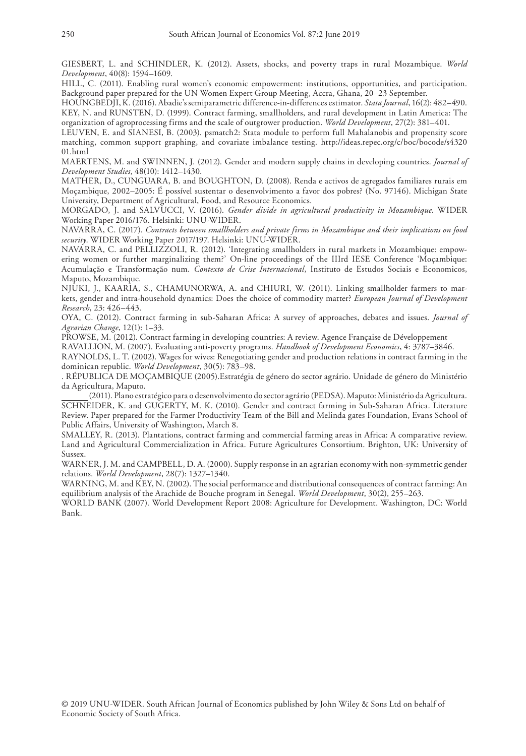GIESBERT, L. and SCHINDLER, K. (2012). Assets, shocks, and poverty traps in rural Mozambique. *World Development*, 40(8): 1594–1609.

HILL, C. (2011). Enabling rural women's economic empowerment: institutions, opportunities, and participation. Background paper prepared for the UN Women Expert Group Meeting, Accra, Ghana, 20–23 September.

HOUNGBEDJI, K. (2016). Abadie's semiparametric difference-in-differences estimator. *Stata Journal*, 16(2): 482–490. KEY, N. and RUNSTEN, D. (1999). Contract farming, smallholders, and rural development in Latin America: The organization of agroprocessing firms and the scale of outgrower production. *World Development*, 27(2): 381–401.

LEUVEN, E. and SIANESI, B. (2003). psmatch2: Stata module to perform full Mahalanobis and propensity score matching, common support graphing, and covariate imbalance testing. [http://ideas.repec.org/c/boc/bocode/s4320](http://ideas.repec.org/c/boc/bocode/s432001.html) [01.html](http://ideas.repec.org/c/boc/bocode/s432001.html)

MAERTENS, M. and SWINNEN, J. (2012). Gender and modern supply chains in developing countries. *Journal of Development Studies*, 48(10): 1412–1430.

MATHER, D., CUNGUARA, B. and BOUGHTON, D. (2008). Renda e activos de agregados familiares rurais em Moçambique, 2002–2005: É possível sustentar o desenvolvimento a favor dos pobres? (No. 97146). Michigan State University, Department of Agricultural, Food, and Resource Economics.

MORGADO, J. and SALVUCCI, V. (2016). *Gender divide in agricultural productivity in Mozambique*. WIDER Working Paper 2016/176. Helsinki: UNU-WIDER.

NAVARRA, C. (2017). *Contracts between smallholders and private firms in Mozambique and their implications on food security*. WIDER Working Paper 2017/197. Helsinki: UNU-WIDER.

NAVARRA, C. and PELLIZZOLI, R. (2012). 'Integrating smallholders in rural markets in Mozambique: empowering women or further marginalizing them?' On-line proceedings of the IIIrd IESE Conference 'Moçambique: Acumulação e Transformação num. *Contexto de Crise Internacional*, Instituto de Estudos Sociais e Economicos, Maputo, Mozambique.

NJUKI, J., KAARIA, S., CHAMUNORWA, A. and CHIURI, W. (2011). Linking smallholder farmers to markets, gender and intra-household dynamics: Does the choice of commodity matter? *European Journal of Development Research*, 23: 426–443.

OYA, C. (2012). Contract farming in sub-Saharan Africa: A survey of approaches, debates and issues. *Journal of Agrarian Change*, 12(1): 1–33.

PROWSE, M. (2012). Contract farming in developing countries: A review. Agence Française de Développement

RAVALLION, M. (2007). Evaluating anti-poverty programs. *Handbook of Development Economics*, 4: 3787–3846.

RAYNOLDS, L. T. (2002). Wages for wives: Renegotiating gender and production relations in contract farming in the dominican republic. *World Development*, 30(5): 783–98.

. RÉPUBLICA DE MOÇAMBIQUE (2005).Estratégia de género do sector agrário. Unidade de género do Ministério da Agricultura, Maputo.

 (2011). Plano estratégico para o desenvolvimento do sector agrário (PEDSA). Maputo: Ministério da Agricultura. SCHNEIDER, K. and GUGERTY, M. K. (2010). Gender and contract farming in Sub-Saharan Africa. Literature Review. Paper prepared for the Farmer Productivity Team of the Bill and Melinda gates Foundation, Evans School of Public Affairs, University of Washington, March 8.

SMALLEY, R. (2013). Plantations, contract farming and commercial farming areas in Africa: A comparative review. Land and Agricultural Commercialization in Africa. Future Agricultures Consortium. Brighton, UK: University of Sussex.

WARNER, J. M. and CAMPBELL, D. A. (2000). Supply response in an agrarian economy with non-symmetric gender relations. *World Development*, 28(7): 1327–1340.

WARNING, M. and KEY, N. (2002). The social performance and distributional consequences of contract farming: An equilibrium analysis of the Arachide de Bouche program in Senegal. *World Development*, 30(2), 255–263.

WORLD BANK (2007). World Development Report 2008: Agriculture for Development. Washington, DC: World Bank.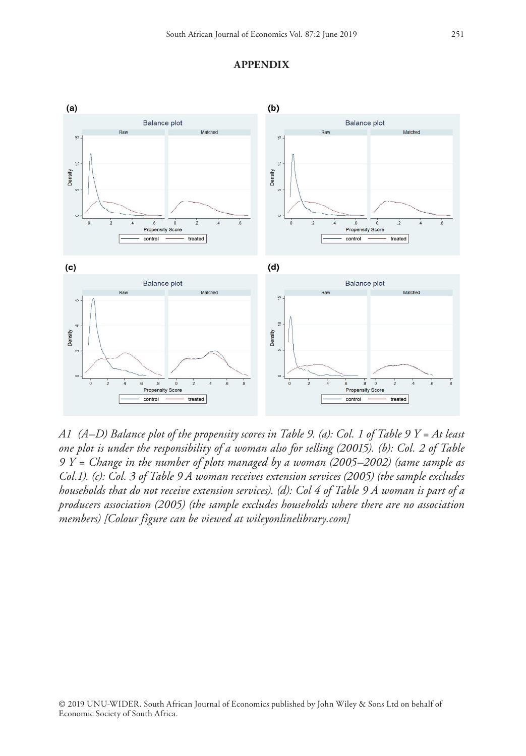

#### **APPENDIX**

*A1 (A–D) Balance plot of the propensity scores in Table 9. (a): Col. 1 of Table 9 Y = At least one plot is under the responsibility of a woman also for selling (20015). (b): Col. 2 of Table 9 Y = Change in the number of plots managed by a woman (2005–2002) (same sample as Col.1). (c): Col. 3 of Table 9 A woman receives extension services (2005) (the sample excludes households that do not receive extension services). (d): Col 4 of Table 9 A woman is part of a producers association (2005) (the sample excludes households where there are no association members) [Colour figure can be viewed at [wileyonlinelibrary.com](www.wileyonlinelibrary.com)]*